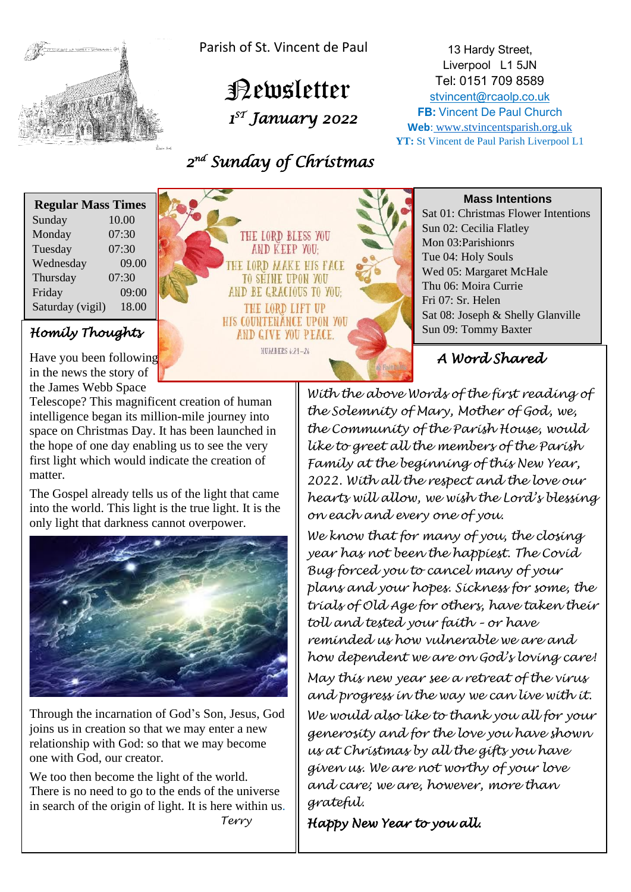

Parish of St. Vincent de Paul

 Newsletter  *1 ST January 2022* 

 *2 nd Sunday of Christmas* 

13 Hardy Street, Liverpool L1 5JN Tel: 0151 709 8589 [stvincent@rcaolp.co.uk](mailto:stvincent@rcaolp.co.uk) **FB:** Vincent De Paul Church **Web**: www.stvincentsparish.org.uk **YT:** St Vincent de Paul Parish Liverpool L1

| <b>Regular Mass Times</b> |       |
|---------------------------|-------|
| Sunday                    | 10.00 |
| Monday                    | 07:30 |
| Tuesday                   | 07:30 |
| Wednesday                 | 09.00 |
| Thursday                  | 07:30 |
| Friday                    | 09:00 |
| Saturday (vigil)          | 18.00 |

Have you been following in the news the story of the James Webb Space

Telescope? This magnificent creation of human intelligence began its million-mile journey into space on Christmas Day. It has been launched in the hope of one day enabling us to see the very first light which would indicate the creation of matter.

The Gospel already tells us of the light that came into the world. This light is the true light. It is the only light that darkness cannot overpower.



Through the incarnation of God's Son, Jesus, God joins us in creation so that we may enter a new relationship with God: so that we may become one with God, our creator.

We too then become the light of the world. There is no need to go to the ends of the universe in search of the origin of light. It is here within us.  *Terry* 



**Mass Intentions**

Sat 01: Christmas Flower Intentions Sun 02: Cecilia Flatley Mon 03:Parishionrs Tue 04: Holy Souls Wed 05: Margaret McHale Thu 06: Moira Currie Fri 07: Sr. Helen Sat 08: Joseph & Shelly Glanville

 *A Word Shared* 

*With the above Words of the first reading of the Solemnity of Mary, Mother of God, we, the Community of the Parish House, would like to greet all the members of the Parish Family at the beginning of this New Year, 2022. With all the respect and the love our hearts will allow, we wish the Lord's blessing on each and every one of you.* 

*We know that for many of you, the closing year has not been the happiest. The Covid Bug forced you to cancel many of your plans and your hopes. Sickness for some, the trials of Old Age for others, have taken their toll and tested your faith – or have reminded us how vulnerable we are and how dependent we are on God's loving care!* 

*May this new year see a retreat of the virus and progress in the way we can live with it. We would also like to thank you all for your generosity and for the love you have shown us at Christmas by all the gifts you have given us. We are not worthy of your love and care; we are, however, more than grateful.* 

*Happy New Year to you all.*